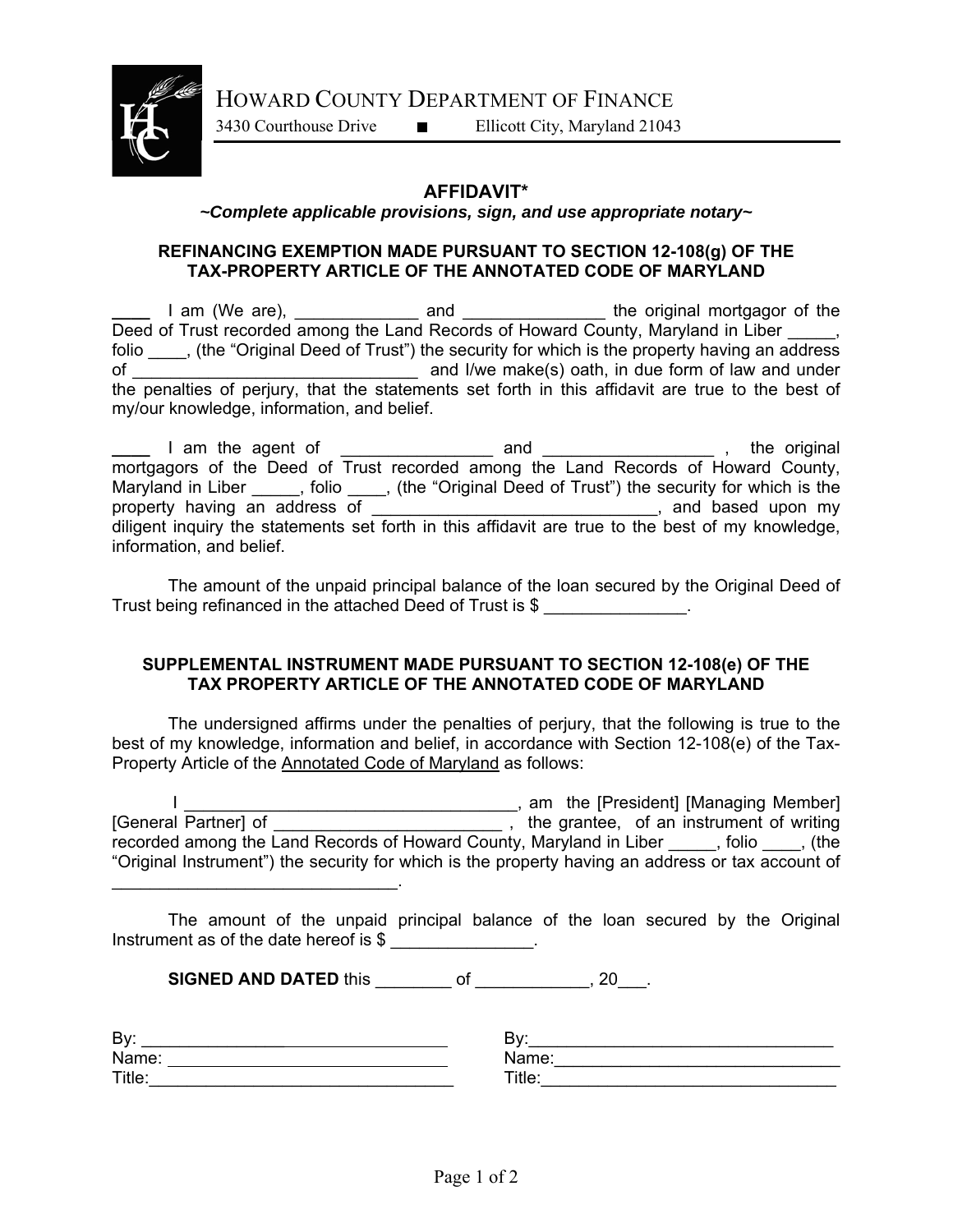HOWARD COUNTY DEPARTMENT OF FINANCE



3430 Courthouse Drive Ellicott City, Maryland 21043

## **AFFIDAVIT\***

## *~Complete applicable provisions, sign, and use appropriate notary~*

## **REFINANCING EXEMPTION MADE PURSUANT TO SECTION 12-108(g) OF THE TAX-PROPERTY ARTICLE OF THE ANNOTATED CODE OF MARYLAND**

**\_\_\_\_** I am (We are), \_\_\_\_\_\_\_\_\_\_\_\_\_ and \_\_\_\_\_\_\_\_\_\_\_\_\_\_\_ the original mortgagor of the Deed of Trust recorded among the Land Records of Howard County, Maryland in Liber \_\_\_\_, folio \_\_\_\_, (the "Original Deed of Trust") the security for which is the property having an address of  $\blacksquare$  and I/we make(s) oath, in due form of law and under of \_\_\_\_\_\_\_\_\_\_\_\_\_\_\_\_\_\_\_\_\_\_\_\_\_\_\_\_\_\_ and I/we make(s) oath, in due form of law and under the penalties of perjury, that the statements set forth in this affidavit are true to the best of my/our knowledge, information, and belief.

**\_\_\_\_** I am the agent of \_\_\_\_\_\_\_\_\_\_\_\_\_\_\_\_ and \_\_\_\_\_\_\_\_\_\_\_\_\_\_\_\_\_\_ , the original mortgagors of the Deed of Trust recorded among the Land Records of Howard County, Maryland in Liber \_\_\_\_, folio \_\_\_, (the "Original Deed of Trust") the security for which is the property having an address of **Exercise 2** and based upon my diligent inquiry the statements set forth in this affidavit are true to the best of my knowledge, information, and belief.

 The amount of the unpaid principal balance of the loan secured by the Original Deed of Trust being refinanced in the attached Deed of Trust is \$

## **SUPPLEMENTAL INSTRUMENT MADE PURSUANT TO SECTION 12-108(e) OF THE TAX PROPERTY ARTICLE OF THE ANNOTATED CODE OF MARYLAND**

The undersigned affirms under the penalties of perjury, that the following is true to the best of my knowledge, information and belief, in accordance with Section 12-108(e) of the Tax-Property Article of the Annotated Code of Maryland as follows:

 I \_\_\_\_\_\_\_\_\_\_\_\_\_\_\_\_\_\_\_\_\_\_\_\_\_\_\_\_\_\_\_\_\_\_\_, am the [President] [Managing Member] [General Partner] of \_\_\_\_\_\_\_\_\_\_\_\_\_\_\_\_\_\_\_\_\_\_\_\_ , the grantee, of an instrument of writing recorded among the Land Records of Howard County, Maryland in Liber \_\_\_\_\_, folio \_\_\_\_, (the "Original Instrument") the security for which is the property having an address or tax account of

 The amount of the unpaid principal balance of the loan secured by the Original Instrument as of the date hereof is \$

**SIGNED AND DATED this \_\_\_\_\_\_\_\_\_ of \_\_\_\_\_\_\_\_\_\_\_, 20\_\_\_.** 

| By:    | D.<br>◡            |
|--------|--------------------|
| Name:  | ∴Nam<br>. .        |
| Title: | $\mathsf{Title}$ : |

 $\mathcal{L}_\text{max}$  and  $\mathcal{L}_\text{max}$  and  $\mathcal{L}_\text{max}$  and  $\mathcal{L}_\text{max}$ 

| Name:  |  |
|--------|--|
| Title: |  |
|        |  |